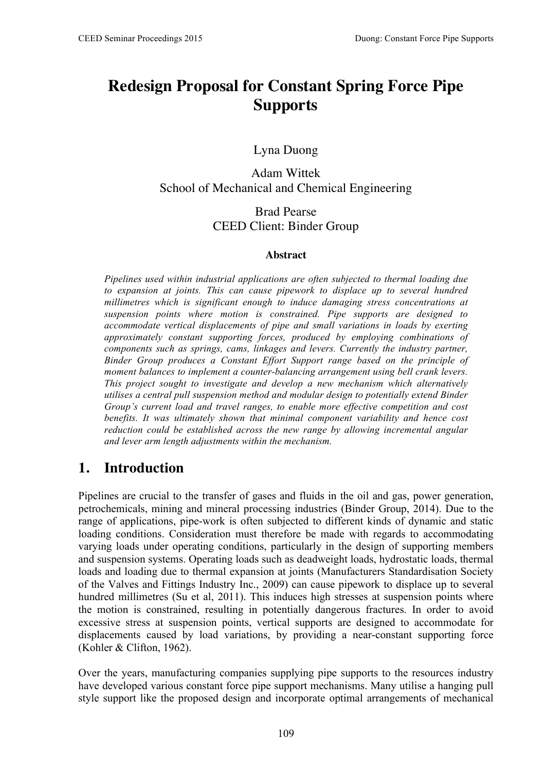# **Redesign Proposal for Constant Spring Force Pipe Supports**

#### Lyna Duong

#### Adam Wittek School of Mechanical and Chemical Engineering

#### Brad Pearse CEED Client: Binder Group

#### **Abstract**

*Pipelines used within industrial applications are often subjected to thermal loading due to expansion at joints. This can cause pipework to displace up to several hundred millimetres which is significant enough to induce damaging stress concentrations at suspension points where motion is constrained. Pipe supports are designed to accommodate vertical displacements of pipe and small variations in loads by exerting approximately constant supporting forces, produced by employing combinations of components such as springs, cams, linkages and levers. Currently the industry partner, Binder Group produces a Constant Effort Support range based on the principle of moment balances to implement a counter-balancing arrangement using bell crank levers. This project sought to investigate and develop a new mechanism which alternatively utilises a central pull suspension method and modular design to potentially extend Binder Group's current load and travel ranges, to enable more effective competition and cost benefits. It was ultimately shown that minimal component variability and hence cost reduction could be established across the new range by allowing incremental angular and lever arm length adjustments within the mechanism.* 

#### **1. Introduction**

Pipelines are crucial to the transfer of gases and fluids in the oil and gas, power generation, petrochemicals, mining and mineral processing industries (Binder Group, 2014). Due to the range of applications, pipe-work is often subjected to different kinds of dynamic and static loading conditions. Consideration must therefore be made with regards to accommodating varying loads under operating conditions, particularly in the design of supporting members and suspension systems. Operating loads such as deadweight loads, hydrostatic loads, thermal loads and loading due to thermal expansion at joints (Manufacturers Standardisation Society of the Valves and Fittings Industry Inc., 2009) can cause pipework to displace up to several hundred millimetres (Su et al, 2011). This induces high stresses at suspension points where the motion is constrained, resulting in potentially dangerous fractures. In order to avoid excessive stress at suspension points, vertical supports are designed to accommodate for displacements caused by load variations, by providing a near-constant supporting force (Kohler & Clifton, 1962).

Over the years, manufacturing companies supplying pipe supports to the resources industry have developed various constant force pipe support mechanisms. Many utilise a hanging pull style support like the proposed design and incorporate optimal arrangements of mechanical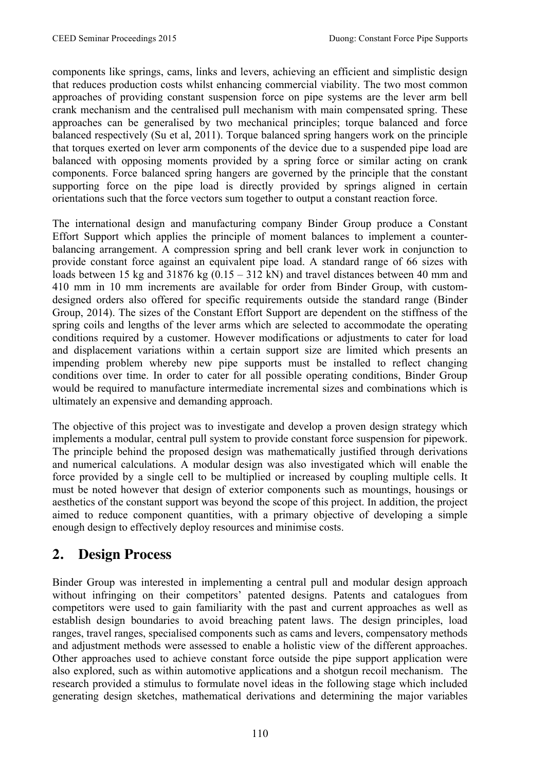components like springs, cams, links and levers, achieving an efficient and simplistic design that reduces production costs whilst enhancing commercial viability. The two most common approaches of providing constant suspension force on pipe systems are the lever arm bell crank mechanism and the centralised pull mechanism with main compensated spring. These approaches can be generalised by two mechanical principles; torque balanced and force balanced respectively (Su et al, 2011). Torque balanced spring hangers work on the principle that torques exerted on lever arm components of the device due to a suspended pipe load are balanced with opposing moments provided by a spring force or similar acting on crank components. Force balanced spring hangers are governed by the principle that the constant supporting force on the pipe load is directly provided by springs aligned in certain orientations such that the force vectors sum together to output a constant reaction force.

The international design and manufacturing company Binder Group produce a Constant Effort Support which applies the principle of moment balances to implement a counterbalancing arrangement. A compression spring and bell crank lever work in conjunction to provide constant force against an equivalent pipe load. A standard range of 66 sizes with loads between 15 kg and 31876 kg  $(0.15 - 312 \text{ kN})$  and travel distances between 40 mm and 410 mm in 10 mm increments are available for order from Binder Group, with customdesigned orders also offered for specific requirements outside the standard range (Binder Group, 2014). The sizes of the Constant Effort Support are dependent on the stiffness of the spring coils and lengths of the lever arms which are selected to accommodate the operating conditions required by a customer. However modifications or adjustments to cater for load and displacement variations within a certain support size are limited which presents an impending problem whereby new pipe supports must be installed to reflect changing conditions over time. In order to cater for all possible operating conditions, Binder Group would be required to manufacture intermediate incremental sizes and combinations which is ultimately an expensive and demanding approach.

The objective of this project was to investigate and develop a proven design strategy which implements a modular, central pull system to provide constant force suspension for pipework. The principle behind the proposed design was mathematically justified through derivations and numerical calculations. A modular design was also investigated which will enable the force provided by a single cell to be multiplied or increased by coupling multiple cells. It must be noted however that design of exterior components such as mountings, housings or aesthetics of the constant support was beyond the scope of this project. In addition, the project aimed to reduce component quantities, with a primary objective of developing a simple enough design to effectively deploy resources and minimise costs.

#### **2. Design Process**

Binder Group was interested in implementing a central pull and modular design approach without infringing on their competitors' patented designs. Patents and catalogues from competitors were used to gain familiarity with the past and current approaches as well as establish design boundaries to avoid breaching patent laws. The design principles, load ranges, travel ranges, specialised components such as cams and levers, compensatory methods and adjustment methods were assessed to enable a holistic view of the different approaches. Other approaches used to achieve constant force outside the pipe support application were also explored, such as within automotive applications and a shotgun recoil mechanism. The research provided a stimulus to formulate novel ideas in the following stage which included generating design sketches, mathematical derivations and determining the major variables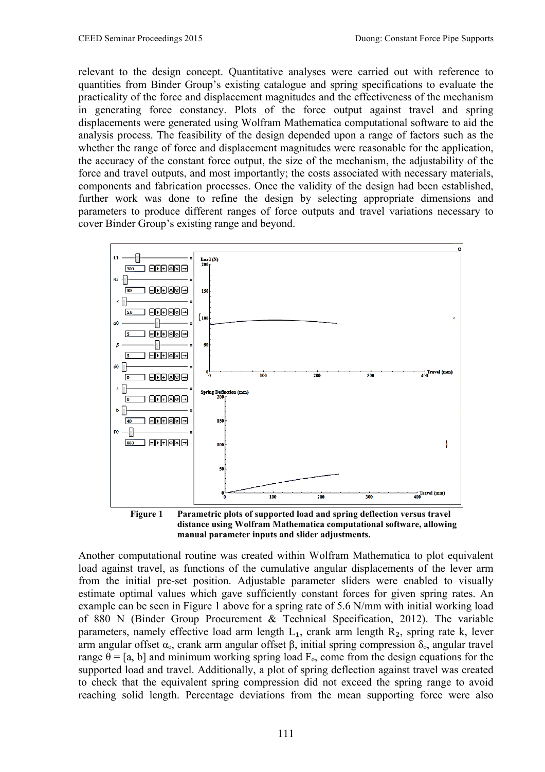relevant to the design concept. Quantitative analyses were carried out with reference to quantities from Binder Group's existing catalogue and spring specifications to evaluate the practicality of the force and displacement magnitudes and the effectiveness of the mechanism in generating force constancy. Plots of the force output against travel and spring displacements were generated using Wolfram Mathematica computational software to aid the analysis process. The feasibility of the design depended upon a range of factors such as the whether the range of force and displacement magnitudes were reasonable for the application, the accuracy of the constant force output, the size of the mechanism, the adjustability of the force and travel outputs, and most importantly; the costs associated with necessary materials, components and fabrication processes. Once the validity of the design had been established, further work was done to refine the design by selecting appropriate dimensions and parameters to produce different ranges of force outputs and travel variations necessary to cover Binder Group's existing range and beyond.



**Figure 1 Parametric plots of supported load and spring deflection versus travel distance using Wolfram Mathematica computational software, allowing manual parameter inputs and slider adjustments.** 

Another computational routine was created within Wolfram Mathematica to plot equivalent load against travel, as functions of the cumulative angular displacements of the lever arm from the initial pre-set position. Adjustable parameter sliders were enabled to visually estimate optimal values which gave sufficiently constant forces for given spring rates. An example can be seen in Figure 1 above for a spring rate of 5.6 N/mm with initial working load of 880 N (Binder Group Procurement & Technical Specification, 2012). The variable parameters, namely effective load arm length  $L_1$ , crank arm length  $R_2$ , spring rate k, lever arm angular offset  $\alpha_0$ , crank arm angular offset β, initial spring compression  $\delta_0$ , angular travel range  $\theta = [a, b]$  and minimum working spring load  $F_0$ , come from the design equations for the supported load and travel. Additionally, a plot of spring deflection against travel was created to check that the equivalent spring compression did not exceed the spring range to avoid reaching solid length. Percentage deviations from the mean supporting force were also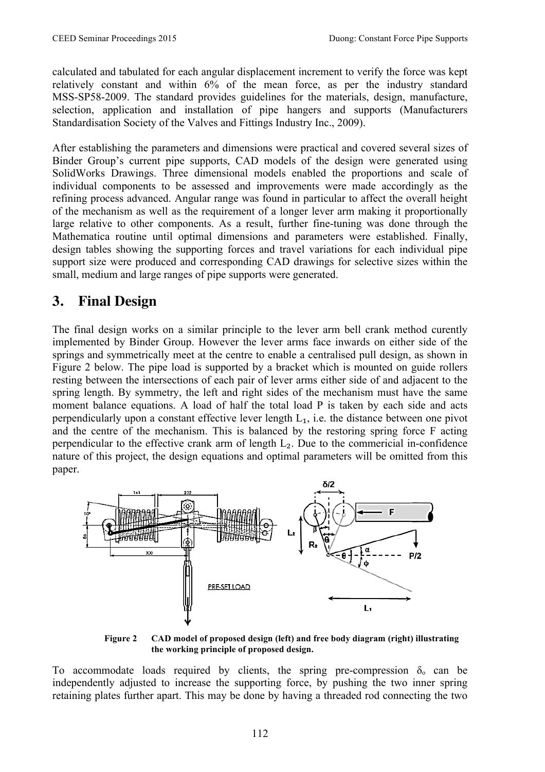calculated and tabulated for each angular displacement increment to verify the force was kept relatively constant and within 6% of the mean force, as per the industry standard MSS-SP58-2009. The standard provides guidelines for the materials, design, manufacture, selection, application and installation of pipe hangers and supports (Manufacturers Standardisation Society of the Valves and Fittings Industry Inc., 2009).

After establishing the parameters and dimensions were practical and covered several sizes of Binder Group's current pipe supports, CAD models of the design were generated using SolidWorks Drawings. Three dimensional models enabled the proportions and scale of individual components to be assessed and improvements were made accordingly as the refining process advanced. Angular range was found in particular to affect the overall height of the mechanism as well as the requirement of a longer lever arm making it proportionally large relative to other components. As a result, further fine-tuning was done through the Mathematica routine until optimal dimensions and parameters were established. Finally, design tables showing the supporting forces and travel variations for each individual pipe support size were produced and corresponding CAD drawings for selective sizes within the small, medium and large ranges of pipe supports were generated.

#### **3. Final Design**

The final design works on a similar principle to the lever arm bell crank method curently implemented by Binder Group. However the lever arms face inwards on either side of the springs and symmetrically meet at the centre to enable a centralised pull design, as shown in Figure 2 below. The pipe load is supported by a bracket which is mounted on guide rollers resting between the intersections of each pair of lever arms either side of and adjacent to the spring length. By symmetry, the left and right sides of the mechanism must have the same moment balance equations. A load of half the total load P is taken by each side and acts perpendicularly upon a constant effective lever length  $L_1$ , i.e. the distance between one pivot and the centre of the mechanism. This is balanced by the restoring spring force F acting perpendicular to the effective crank arm of length  $L<sub>2</sub>$ . Due to the commericial in-confidence nature of this project, the design equations and optimal parameters will be omitted from this paper.



**Figure 2 CAD model of proposed design (left) and free body diagram (right) illustrating the working principle of proposed design.** 

To accommodate loads required by clients, the spring pre-compression  $\delta_0$  can be independently adjusted to increase the supporting force, by pushing the two inner spring retaining plates further apart. This may be done by having a threaded rod connecting the two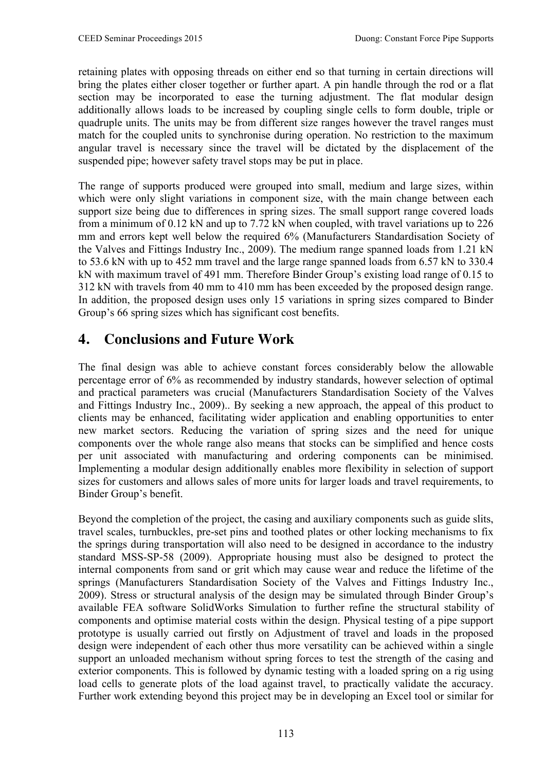retaining plates with opposing threads on either end so that turning in certain directions will bring the plates either closer together or further apart. A pin handle through the rod or a flat section may be incorporated to ease the turning adjustment. The flat modular design additionally allows loads to be increased by coupling single cells to form double, triple or quadruple units. The units may be from different size ranges however the travel ranges must match for the coupled units to synchronise during operation. No restriction to the maximum angular travel is necessary since the travel will be dictated by the displacement of the suspended pipe; however safety travel stops may be put in place.

The range of supports produced were grouped into small, medium and large sizes, within which were only slight variations in component size, with the main change between each support size being due to differences in spring sizes. The small support range covered loads from a minimum of 0.12 kN and up to 7.72 kN when coupled, with travel variations up to 226 mm and errors kept well below the required 6% (Manufacturers Standardisation Society of the Valves and Fittings Industry Inc., 2009). The medium range spanned loads from 1.21 kN to 53.6 kN with up to 452 mm travel and the large range spanned loads from 6.57 kN to 330.4 kN with maximum travel of 491 mm. Therefore Binder Group's existing load range of 0.15 to 312 kN with travels from 40 mm to 410 mm has been exceeded by the proposed design range. In addition, the proposed design uses only 15 variations in spring sizes compared to Binder Group's 66 spring sizes which has significant cost benefits.

# **4. Conclusions and Future Work**

The final design was able to achieve constant forces considerably below the allowable percentage error of 6% as recommended by industry standards, however selection of optimal and practical parameters was crucial (Manufacturers Standardisation Society of the Valves and Fittings Industry Inc., 2009).. By seeking a new approach, the appeal of this product to clients may be enhanced, facilitating wider application and enabling opportunities to enter new market sectors. Reducing the variation of spring sizes and the need for unique components over the whole range also means that stocks can be simplified and hence costs per unit associated with manufacturing and ordering components can be minimised. Implementing a modular design additionally enables more flexibility in selection of support sizes for customers and allows sales of more units for larger loads and travel requirements, to Binder Group's benefit.

Beyond the completion of the project, the casing and auxiliary components such as guide slits, travel scales, turnbuckles, pre-set pins and toothed plates or other locking mechanisms to fix the springs during transportation will also need to be designed in accordance to the industry standard MSS-SP-58 (2009). Appropriate housing must also be designed to protect the internal components from sand or grit which may cause wear and reduce the lifetime of the springs (Manufacturers Standardisation Society of the Valves and Fittings Industry Inc., 2009). Stress or structural analysis of the design may be simulated through Binder Group's available FEA software SolidWorks Simulation to further refine the structural stability of components and optimise material costs within the design. Physical testing of a pipe support prototype is usually carried out firstly on Adjustment of travel and loads in the proposed design were independent of each other thus more versatility can be achieved within a single support an unloaded mechanism without spring forces to test the strength of the casing and exterior components. This is followed by dynamic testing with a loaded spring on a rig using load cells to generate plots of the load against travel, to practically validate the accuracy. Further work extending beyond this project may be in developing an Excel tool or similar for